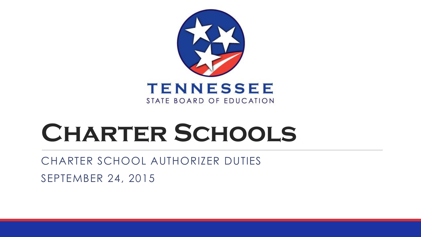

# **Charter Schools**

CHARTER SCHOOL AUTHORIZER DUTIES

SEPTEMBER 24, 2015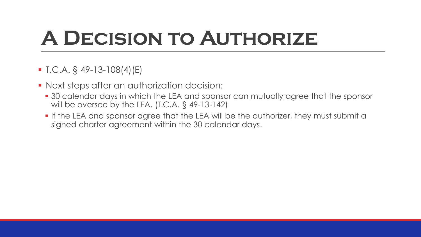## **A Decision to Authorize**

- $\blacksquare$  T.C.A. § 49-13-108(4)(E)
- Next steps after an authorization decision:
	- 30 calendar days in which the LEA and sponsor can mutually agree that the sponsor will be oversee by the LEA. (T.C.A. § 49-13-142)
	- **If the LEA and sponsor agree that the LEA will be the authorizer, they must submit a** signed charter agreement within the 30 calendar days.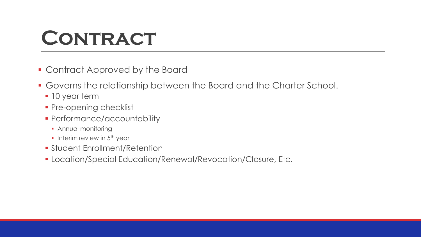#### **CONTRACT**

- Contract Approved by the Board
- Governs the relationship between the Board and the Charter School.
	- **10 year term**
	- Pre-opening checklist
	- **Performance/accountability** 
		- **Annual monitoring**
		- Interim review in  $5<sup>th</sup>$  year
	- Student Enrollment/Retention
	- Location/Special Education/Renewal/Revocation/Closure, Etc.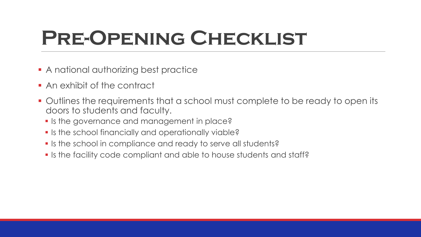## **Pre-Opening Checklist**

- **A** national authorizing best practice
- **An exhibit of the contract**
- Outlines the requirements that a school must complete to be ready to open its doors to students and faculty.
	- **If is the governance and management in place?**
	- **If is the school financially and operationally viable?**
	- If is the school in compliance and ready to serve all students?
	- If is the facility code compliant and able to house students and staff?